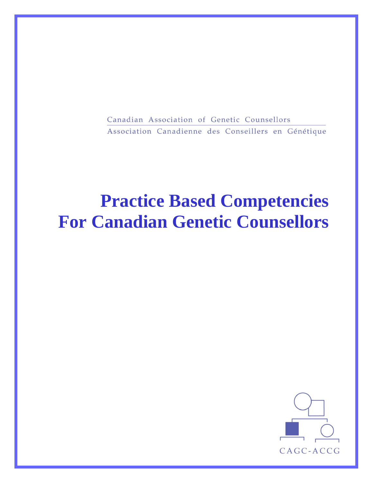Canadian Association of Genetic Counsellors Association Canadienne des Conseillers en Génétique

# **Practice Based Competencies For Canadian Genetic Counsellors**

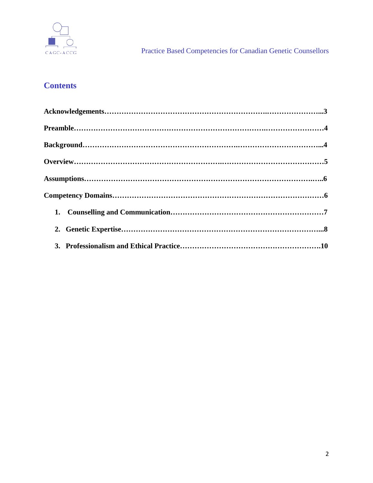

## **Contents**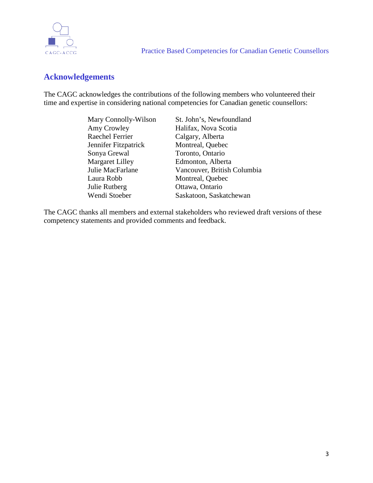

## **Acknowledgements**

The CAGC acknowledges the contributions of the following members who volunteered their time and expertise in considering national competencies for Canadian genetic counsellors:

| Mary Connolly-Wilson | St. John's, Newfoundland    |
|----------------------|-----------------------------|
| Amy Crowley          | Halifax, Nova Scotia        |
| Raechel Ferrier      | Calgary, Alberta            |
| Jennifer Fitzpatrick | Montreal, Quebec            |
| Sonya Grewal         | Toronto, Ontario            |
| Margaret Lilley      | Edmonton, Alberta           |
| Julie MacFarlane     | Vancouver, British Columbia |
| Laura Robb           | Montreal, Quebec            |
| Julie Rutberg        | Ottawa, Ontario             |
| Wendi Stoeber        | Saskatoon, Saskatchewan     |

The CAGC thanks all members and external stakeholders who reviewed draft versions of these competency statements and provided comments and feedback.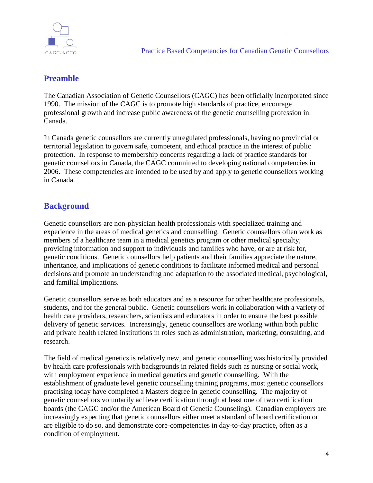

## **Preamble**

The Canadian Association of Genetic Counsellors (CAGC) has been officially incorporated since 1990. The mission of the CAGC is to promote high standards of practice, encourage professional growth and increase public awareness of the genetic counselling profession in Canada.

In Canada genetic counsellors are currently unregulated professionals, having no provincial or territorial legislation to govern safe, competent, and ethical practice in the interest of public protection. In response to membership concerns regarding a lack of practice standards for genetic counsellors in Canada, the CAGC committed to developing national competencies in 2006. These competencies are intended to be used by and apply to genetic counsellors working in Canada.

## **Background**

Genetic counsellors are non-physician health professionals with specialized training and experience in the areas of medical genetics and counselling. Genetic counsellors often work as members of a healthcare team in a medical genetics program or other medical specialty, providing information and support to individuals and families who have, or are at risk for, genetic conditions. Genetic counsellors help patients and their families appreciate the nature, inheritance, and implications of genetic conditions to facilitate informed medical and personal decisions and promote an understanding and adaptation to the associated medical, psychological, and familial implications.

Genetic counsellors serve as both educators and as a resource for other healthcare professionals, students, and for the general public. Genetic counsellors work in collaboration with a variety of health care providers, researchers, scientists and educators in order to ensure the best possible delivery of genetic services. Increasingly, genetic counsellors are working within both public and private health related institutions in roles such as administration, marketing, consulting, and research.

The field of medical genetics is relatively new, and genetic counselling was historically provided by health care professionals with backgrounds in related fields such as nursing or social work, with employment experience in medical genetics and genetic counselling. With the establishment of graduate level genetic counselling training programs, most genetic counsellors practising today have completed a Masters degree in genetic counselling. The majority of genetic counsellors voluntarily achieve certification through at least one of two certification boards (the CAGC and/or the American Board of Genetic Counseling). Canadian employers are increasingly expecting that genetic counsellors either meet a standard of board certification or are eligible to do so, and demonstrate core-competencies in day-to-day practice, often as a condition of employment.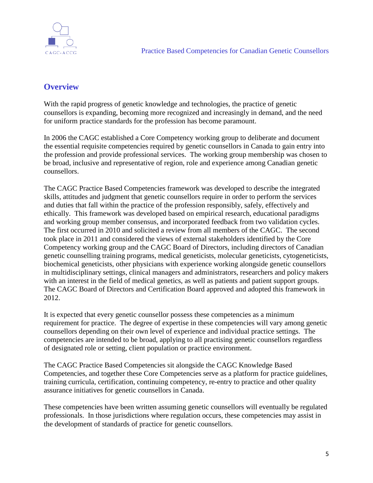

## **Overview**

With the rapid progress of genetic knowledge and technologies, the practice of genetic counsellors is expanding, becoming more recognized and increasingly in demand, and the need for uniform practice standards for the profession has become paramount.

In 2006 the CAGC established a Core Competency working group to deliberate and document the essential requisite competencies required by genetic counsellors in Canada to gain entry into the profession and provide professional services. The working group membership was chosen to be broad, inclusive and representative of region, role and experience among Canadian genetic counsellors.

The CAGC Practice Based Competencies framework was developed to describe the integrated skills, attitudes and judgment that genetic counsellors require in order to perform the services and duties that fall within the practice of the profession responsibly, safely, effectively and ethically. This framework was developed based on empirical research, educational paradigms and working group member consensus, and incorporated feedback from two validation cycles. The first occurred in 2010 and solicited a review from all members of the CAGC. The second took place in 2011 and considered the views of external stakeholders identified by the Core Competency working group and the CAGC Board of Directors, including directors of Canadian genetic counselling training programs, medical geneticists, molecular geneticists, cytogeneticists, biochemical geneticists, other physicians with experience working alongside genetic counsellors in multidisciplinary settings, clinical managers and administrators, researchers and policy makers with an interest in the field of medical genetics, as well as patients and patient support groups. The CAGC Board of Directors and Certification Board approved and adopted this framework in 2012.

It is expected that every genetic counsellor possess these competencies as a minimum requirement for practice. The degree of expertise in these competencies will vary among genetic counsellors depending on their own level of experience and individual practice settings. The competencies are intended to be broad, applying to all practising genetic counsellors regardless of designated role or setting, client population or practice environment.

The CAGC Practice Based Competencies sit alongside the CAGC Knowledge Based Competencies, and together these Core Competencies serve as a platform for practice guidelines, training curricula, certification, continuing competency, re-entry to practice and other quality assurance initiatives for genetic counsellors in Canada.

These competencies have been written assuming genetic counsellors will eventually be regulated professionals. In those jurisdictions where regulation occurs, these competencies may assist in the development of standards of practice for genetic counsellors.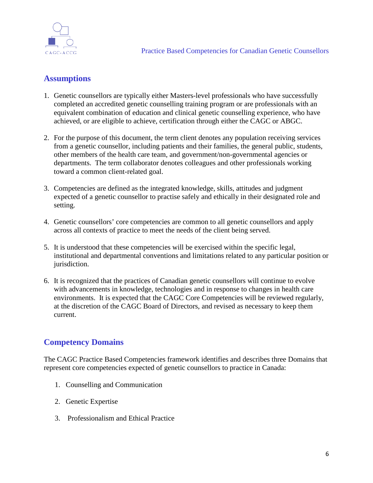

## **Assumptions**

- 1. Genetic counsellors are typically either Masters-level professionals who have successfully completed an accredited genetic counselling training program or are professionals with an equivalent combination of education and clinical genetic counselling experience, who have achieved, or are eligible to achieve, certification through either the CAGC or ABGC.
- 2. For the purpose of this document, the term client denotes any population receiving services from a genetic counsellor, including patients and their families, the general public, students, other members of the health care team, and government/non-governmental agencies or departments. The term collaborator denotes colleagues and other professionals working toward a common client-related goal.
- 3. Competencies are defined as the integrated knowledge, skills, attitudes and judgment expected of a genetic counsellor to practise safely and ethically in their designated role and setting.
- 4. Genetic counsellors' core competencies are common to all genetic counsellors and apply across all contexts of practice to meet the needs of the client being served.
- 5. It is understood that these competencies will be exercised within the specific legal, institutional and departmental conventions and limitations related to any particular position or jurisdiction.
- 6. It is recognized that the practices of Canadian genetic counsellors will continue to evolve with advancements in knowledge, technologies and in response to changes in health care environments. It is expected that the CAGC Core Competencies will be reviewed regularly, at the discretion of the CAGC Board of Directors, and revised as necessary to keep them current.

## **Competency Domains**

The CAGC Practice Based Competencies framework identifies and describes three Domains that represent core competencies expected of genetic counsellors to practice in Canada:

- 1. Counselling and Communication
- 2. Genetic Expertise
- 3. Professionalism and Ethical Practice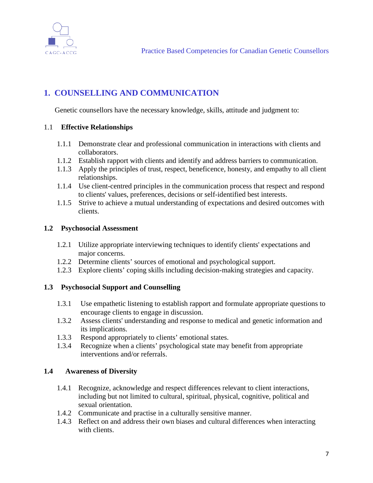

## **1. COUNSELLING AND COMMUNICATION**

Genetic counsellors have the necessary knowledge, skills, attitude and judgment to:

### 1.1 **Effective Relationships**

- 1.1.1 Demonstrate clear and professional communication in interactions with clients and collaborators.
- 1.1.2 Establish rapport with clients and identify and address barriers to communication.
- 1.1.3 Apply the principles of trust, respect, beneficence, honesty, and empathy to all client relationships.
- 1.1.4 Use client-centred principles in the communication process that respect and respond to clients' values, preferences, decisions or self-identified best interests.
- 1.1.5 Strive to achieve a mutual understanding of expectations and desired outcomes with clients.

### **1.2 Psychosocial Assessment**

- 1.2.1 Utilize appropriate interviewing techniques to identify clients' expectations and major concerns.
- 1.2.2 Determine clients' sources of emotional and psychological support.
- 1.2.3 Explore clients' coping skills including decision-making strategies and capacity.

## **1.3 Psychosocial Support and Counselling**

- 1.3.1 Use empathetic listening to establish rapport and formulate appropriate questions to encourage clients to engage in discussion.
- 1.3.2 Assess clients' understanding and response to medical and genetic information and its implications.
- 1.3.3 Respond appropriately to clients' emotional states.
- 1.3.4 Recognize when a clients' psychological state may benefit from appropriate interventions and/or referrals.

#### **1.4 Awareness of Diversity**

- 1.4.1 Recognize, acknowledge and respect differences relevant to client interactions, including but not limited to cultural, spiritual, physical, cognitive, political and sexual orientation.
- 1.4.2 Communicate and practise in a culturally sensitive manner.
- 1.4.3 Reflect on and address their own biases and cultural differences when interacting with clients.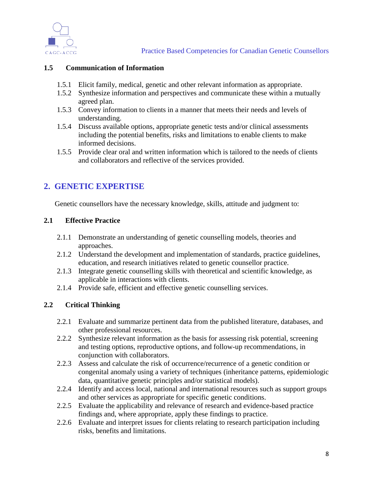

#### **1.5 Communication of Information**

- 1.5.1 Elicit family, medical, genetic and other relevant information as appropriate.
- 1.5.2 Synthesize information and perspectives and communicate these within a mutually agreed plan.
- 1.5.3 Convey information to clients in a manner that meets their needs and levels of understanding.
- 1.5.4 Discuss available options, appropriate genetic tests and/or clinical assessments including the potential benefits, risks and limitations to enable clients to make informed decisions.
- 1.5.5 Provide clear oral and written information which is tailored to the needs of clients and collaborators and reflective of the services provided.

## **2. GENETIC EXPERTISE**

Genetic counsellors have the necessary knowledge, skills, attitude and judgment to:

### **2.1 Effective Practice**

- 2.1.1 Demonstrate an understanding of genetic counselling models, theories and approaches.
- 2.1.2 Understand the development and implementation of standards, practice guidelines, education, and research initiatives related to genetic counsellor practice.
- 2.1.3 Integrate genetic counselling skills with theoretical and scientific knowledge, as applicable in interactions with clients.
- 2.1.4 Provide safe, efficient and effective genetic counselling services.

## **2.2 Critical Thinking**

- 2.2.1 Evaluate and summarize pertinent data from the published literature, databases, and other professional resources.
- 2.2.2 Synthesize relevant information as the basis for assessing risk potential, screening and testing options, reproductive options, and follow-up recommendations, in conjunction with collaborators.
- 2.2.3 Assess and calculate the risk of occurrence/recurrence of a genetic condition or congenital anomaly using a variety of techniques (inheritance patterns, epidemiologic data, quantitative genetic principles and/or statistical models).
- 2.2.4 Identify and access local, national and international resources such as support groups and other services as appropriate for specific genetic conditions.
- 2.2.5 Evaluate the applicability and relevance of research and evidence-based practice findings and, where appropriate, apply these findings to practice.
- 2.2.6 Evaluate and interpret issues for clients relating to research participation including risks, benefits and limitations.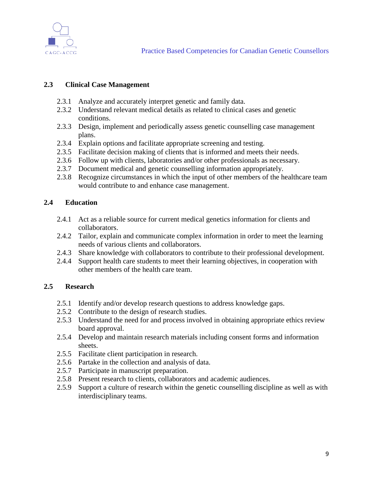

## **2.3 Clinical Case Management**

- 2.3.1 Analyze and accurately interpret genetic and family data.
- 2.3.2 Understand relevant medical details as related to clinical cases and genetic conditions.
- 2.3.3 Design, implement and periodically assess genetic counselling case management plans.
- 2.3.4 Explain options and facilitate appropriate screening and testing.
- 2.3.5 Facilitate decision making of clients that is informed and meets their needs.
- 2.3.6 Follow up with clients, laboratories and/or other professionals as necessary.
- 2.3.7 Document medical and genetic counselling information appropriately.
- 2.3.8 Recognize circumstances in which the input of other members of the healthcare team would contribute to and enhance case management.

### **2.4 Education**

- 2.4.1 Act as a reliable source for current medical genetics information for clients and collaborators.
- 2.4.2 Tailor, explain and communicate complex information in order to meet the learning needs of various clients and collaborators.
- 2.4.3 Share knowledge with collaborators to contribute to their professional development.
- 2.4.4 Support health care students to meet their learning objectives, in cooperation with other members of the health care team.

## **2.5 Research**

- 2.5.1 Identify and/or develop research questions to address knowledge gaps.
- 2.5.2 Contribute to the design of research studies.
- 2.5.3 Understand the need for and process involved in obtaining appropriate ethics review board approval.
- 2.5.4 Develop and maintain research materials including consent forms and information sheets.
- 2.5.5 Facilitate client participation in research.
- 2.5.6 Partake in the collection and analysis of data.
- 2.5.7 Participate in manuscript preparation.
- 2.5.8 Present research to clients, collaborators and academic audiences.
- 2.5.9 Support a culture of research within the genetic counselling discipline as well as with interdisciplinary teams.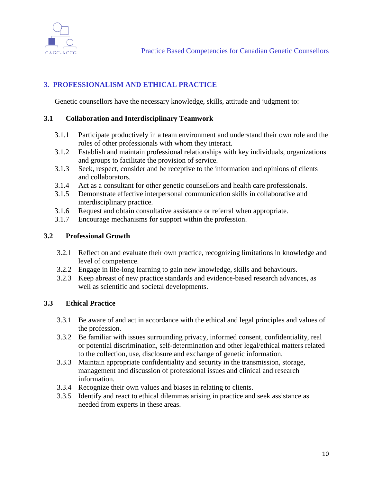

## **3. PROFESSIONALISM AND ETHICAL PRACTICE**

Genetic counsellors have the necessary knowledge, skills, attitude and judgment to:

### **3.1 Collaboration and Interdisciplinary Teamwork**

- 3.1.1 Participate productively in a team environment and understand their own role and the roles of other professionals with whom they interact.
- 3.1.2 Establish and maintain professional relationships with key individuals, organizations and groups to facilitate the provision of service.
- 3.1.3 Seek, respect, consider and be receptive to the information and opinions of clients and collaborators.
- 3.1.4 Act as a consultant for other genetic counsellors and health care professionals.
- 3.1.5 Demonstrate effective interpersonal communication skills in collaborative and interdisciplinary practice.
- 3.1.6 Request and obtain consultative assistance or referral when appropriate.
- 3.1.7 Encourage mechanisms for support within the profession.

### **3.2 Professional Growth**

- 3.2.1 Reflect on and evaluate their own practice, recognizing limitations in knowledge and level of competence.
- 3.2.2 Engage in life-long learning to gain new knowledge, skills and behaviours.
- 3.2.3 Keep abreast of new practice standards and evidence-based research advances, as well as scientific and societal developments.

## **3.3 Ethical Practice**

- 3.3.1 Be aware of and act in accordance with the ethical and legal principles and values of the profession.
- 3.3.2 Be familiar with issues surrounding privacy, informed consent, confidentiality, real or potential discrimination, self-determination and other legal/ethical matters related to the collection, use, disclosure and exchange of genetic information.
- 3.3.3 Maintain appropriate confidentiality and security in the transmission, storage, management and discussion of professional issues and clinical and research information.
- 3.3.4 Recognize their own values and biases in relating to clients.
- 3.3.5 Identify and react to ethical dilemmas arising in practice and seek assistance as needed from experts in these areas.